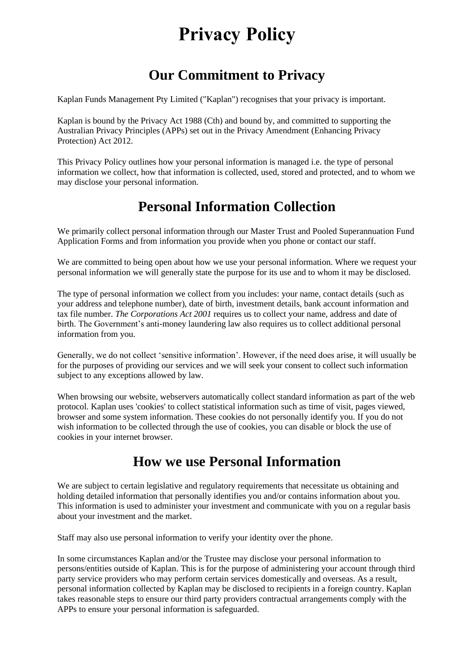# **Privacy Policy**

# **Our Commitment to Privacy**

Kaplan Funds Management Pty Limited ("Kaplan") recognises that your privacy is important.

Kaplan is bound by the Privacy Act 1988 (Cth) and bound by, and committed to supporting the Australian Privacy Principles (APPs) set out in the Privacy Amendment (Enhancing Privacy Protection) Act 2012.

This Privacy Policy outlines how your personal information is managed i.e. the type of personal information we collect, how that information is collected, used, stored and protected, and to whom we may disclose your personal information.

## **Personal Information Collection**

We primarily collect personal information through our Master Trust and Pooled Superannuation Fund Application Forms and from information you provide when you phone or contact our staff.

We are committed to being open about how we use your personal information. Where we request your personal information we will generally state the purpose for its use and to whom it may be disclosed.

The type of personal information we collect from you includes: your name, contact details (such as your address and telephone number), date of birth, investment details, bank account information and tax file number. *The Corporations Act 2001* requires us to collect your name, address and date of birth. The Government's anti-money laundering law also requires us to collect additional personal information from you.

Generally, we do not collect 'sensitive information'. However, if the need does arise, it will usually be for the purposes of providing our services and we will seek your consent to collect such information subject to any exceptions allowed by law.

When browsing our website, webservers automatically collect standard information as part of the web protocol. Kaplan uses 'cookies' to collect statistical information such as time of visit, pages viewed, browser and some system information. These cookies do not personally identify you. If you do not wish information to be collected through the use of cookies, you can disable or block the use of cookies in your internet browser.

#### **How we use Personal Information**

We are subject to certain legislative and regulatory requirements that necessitate us obtaining and holding detailed information that personally identifies you and/or contains information about you. This information is used to administer your investment and communicate with you on a regular basis about your investment and the market.

Staff may also use personal information to verify your identity over the phone.

In some circumstances Kaplan and/or the Trustee may disclose your personal information to persons/entities outside of Kaplan. This is for the purpose of administering your account through third party service providers who may perform certain services domestically and overseas. As a result, personal information collected by Kaplan may be disclosed to recipients in a foreign country. Kaplan takes reasonable steps to ensure our third party providers contractual arrangements comply with the APPs to ensure your personal information is safeguarded.